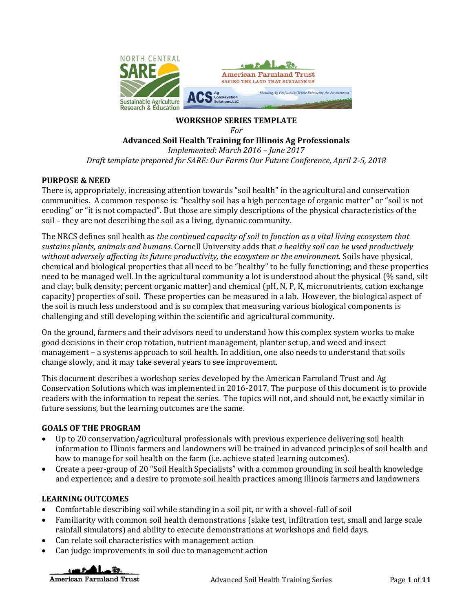

# **WORKSHOP SERIES TEMPLATE**

```
For
```
# **Advanced Soil Health Training for Illinois Ag Professionals**

*Implemented: March 2016 – June 2017 Draft template prepared for SARE: Our Farms Our Future Conference, April 2-5, 2018*

## **PURPOSE & NEED**

There is, appropriately, increasing attention towards "soil health" in the agricultural and conservation communities. A common response is: "healthy soil has a high percentage of organic matter" or "soil is not eroding" or "it is not compacted". But those are simply descriptions of the physical characteristics of the soil – they are not describing the soil as a living, dynamic community.

The NRCS defines soil health as *the continued capacity of soil to function as a vital living ecosystem that sustains plants, animals and humans.* Cornell University adds that *a healthy soil can be used productively without adversely affecting its future productivity, the ecosystem or the environment.* Soils have physical, chemical and biological properties that all need to be "healthy" to be fully functioning; and these properties need to be managed well. In the agricultural community a lot is understood about the physical (% sand, silt and clay; bulk density; percent organic matter) and chemical (pH, N, P, K, micronutrients, cation exchange capacity) properties of soil. These properties can be measured in a lab. However, the biological aspect of the soil is much less understood and is so complex that measuring various biological components is challenging and still developing within the scientific and agricultural community.

On the ground, farmers and their advisors need to understand how this complex system works to make good decisions in their crop rotation, nutrient management, planter setup, and weed and insect management – a systems approach to soil health. In addition, one also needs to understand that soils change slowly, and it may take several years to see improvement.

This document describes a workshop series developed by the American Farmland Trust and Ag Conservation Solutions which was implemented in 2016-2017. The purpose of this document is to provide readers with the information to repeat the series. The topics will not, and should not, be exactly similar in future sessions, but the learning outcomes are the same.

## **GOALS OF THE PROGRAM**

- Up to 20 conservation/agricultural professionals with previous experience delivering soil health information to Illinois farmers and landowners will be trained in advanced principles of soil health and how to manage for soil health on the farm (i.e. achieve stated learning outcomes).
- Create a peer-group of 20 "Soil Health Specialists" with a common grounding in soil health knowledge and experience; and a desire to promote soil health practices among Illinois farmers and landowners

## **LEARNING OUTCOMES**

- Comfortable describing soil while standing in a soil pit, or with a shovel-full of soil
- Familiarity with common soil health demonstrations (slake test, infiltration test, small and large scale rainfall simulators) and ability to execute demonstrations at workshops and field days.
- Can relate soil characteristics with management action
- Can judge improvements in soil due to management action

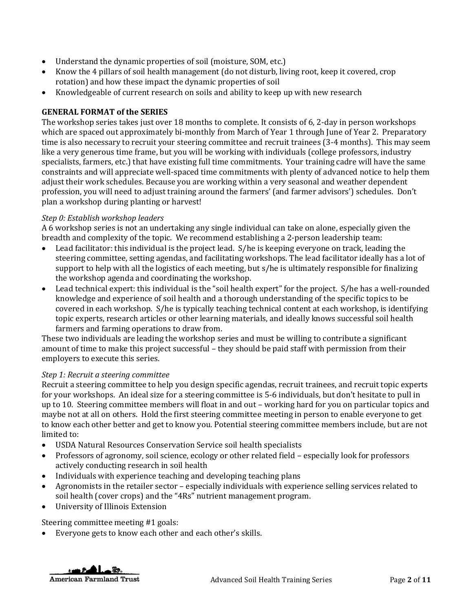- Understand the dynamic properties of soil (moisture, SOM, etc.)
- Know the 4 pillars of soil health management (do not disturb, living root, keep it covered, crop rotation) and how these impact the dynamic properties of soil
- Knowledgeable of current research on soils and ability to keep up with new research

### **GENERAL FORMAT of the SERIES**

The workshop series takes just over 18 months to complete. It consists of 6, 2-day in person workshops which are spaced out approximately bi-monthly from March of Year 1 through June of Year 2. Preparatory time is also necessary to recruit your steering committee and recruit trainees (3-4 months). This may seem like a very generous time frame, but you will be working with individuals (college professors, industry specialists, farmers, etc.) that have existing full time commitments. Your training cadre will have the same constraints and will appreciate well-spaced time commitments with plenty of advanced notice to help them adjust their work schedules. Because you are working within a very seasonal and weather dependent profession, you will need to adjust training around the farmers' (and farmer advisors') schedules. Don't plan a workshop during planting or harvest!

#### *Step 0: Establish workshop leaders*

A 6 workshop series is not an undertaking any single individual can take on alone, especially given the breadth and complexity of the topic. We recommend establishing a 2-person leadership team:

- Lead facilitator: this individual is the project lead. S/he is keeping everyone on track, leading the steering committee, setting agendas, and facilitating workshops. The lead facilitator ideally has a lot of support to help with all the logistics of each meeting, but s/he is ultimately responsible for finalizing the workshop agenda and coordinating the workshop.
- Lead technical expert: this individual is the "soil health expert" for the project. S/he has a well-rounded knowledge and experience of soil health and a thorough understanding of the specific topics to be covered in each workshop. S/he is typically teaching technical content at each workshop, is identifying topic experts, research articles or other learning materials, and ideally knows successful soil health farmers and farming operations to draw from.

These two individuals are leading the workshop series and must be willing to contribute a significant amount of time to make this project successful – they should be paid staff with permission from their employers to execute this series.

#### *Step 1: Recruit a steering committee*

Recruit a steering committee to help you design specific agendas, recruit trainees, and recruit topic experts for your workshops. An ideal size for a steering committee is 5-6 individuals, but don't hesitate to pull in up to 10. Steering committee members will float in and out – working hard for you on particular topics and maybe not at all on others. Hold the first steering committee meeting in person to enable everyone to get to know each other better and get to know you. Potential steering committee members include, but are not limited to:

- USDA Natural Resources Conservation Service soil health specialists
- Professors of agronomy, soil science, ecology or other related field especially look for professors actively conducting research in soil health
- Individuals with experience teaching and developing teaching plans
- Agronomists in the retailer sector especially individuals with experience selling services related to soil health (cover crops) and the "4Rs" nutrient management program.
- University of Illinois Extension

Steering committee meeting #1 goals:

Everyone gets to know each other and each other's skills.

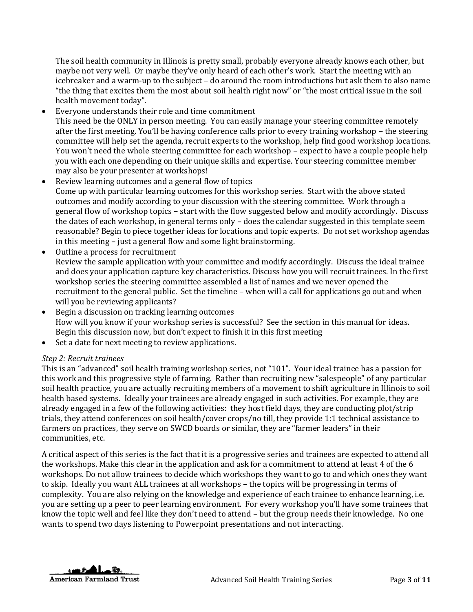The soil health community in Illinois is pretty small, probably everyone already knows each other, but maybe not very well. Or maybe they've only heard of each other's work. Start the meeting with an icebreaker and a warm-up to the subject – do around the room introductions but ask them to also name "the thing that excites them the most about soil health right now" or "the most critical issue in the soil health movement today".

- Everyone understands their role and time commitment This need be the ONLY in person meeting. You can easily manage your steering committee remotely after the first meeting. You'll be having conference calls prior to every training workshop – the steering committee will help set the agenda, recruit experts to the workshop, help find good workshop locations. You won't need the whole steering committee for each workshop – expect to have a couple people help you with each one depending on their unique skills and expertise. Your steering committee member may also be your presenter at workshops!
- Review learning outcomes and a general flow of topics Come up with particular learning outcomes for this workshop series. Start with the above stated outcomes and modify according to your discussion with the steering committee. Work through a general flow of workshop topics – start with the flow suggested below and modify accordingly. Discuss the dates of each workshop, in general terms only – does the calendar suggested in this template seem reasonable? Begin to piece together ideas for locations and topic experts. Do not set workshop agendas in this meeting – just a general flow and some light brainstorming.
- Outline a process for recruitment Review the sample application with your committee and modify accordingly. Discuss the ideal trainee and does your application capture key characteristics. Discuss how you will recruit trainees. In the first workshop series the steering committee assembled a list of names and we never opened the recruitment to the general public. Set the timeline – when will a call for applications go out and when will you be reviewing applicants?
- Begin a discussion on tracking learning outcomes How will you know if your workshop series is successful? See the section in this manual for ideas. Begin this discussion now, but don't expect to finish it in this first meeting
- Set a date for next meeting to review applications.

## *Step 2: Recruit trainees*

This is an "advanced" soil health training workshop series, not "101". Your ideal trainee has a passion for this work and this progressive style of farming. Rather than recruiting new "salespeople" of any particular soil health practice, you are actually recruiting members of a movement to shift agriculture in Illinois to soil health based systems. Ideally your trainees are already engaged in such activities. For example, they are already engaged in a few of the following activities: they host field days, they are conducting plot/strip trials, they attend conferences on soil health/cover crops/no till, they provide 1:1 technical assistance to farmers on practices, they serve on SWCD boards or similar, they are "farmer leaders" in their communities, etc.

A critical aspect of this series is the fact that it is a progressive series and trainees are expected to attend all the workshops. Make this clear in the application and ask for a commitment to attend at least 4 of the 6 workshops. Do not allow trainees to decide which workshops they want to go to and which ones they want to skip. Ideally you want ALL trainees at all workshops – the topics will be progressing in terms of complexity. You are also relying on the knowledge and experience of each trainee to enhance learning, i.e. you are setting up a peer to peer learning environment. For every workshop you'll have some trainees that know the topic well and feel like they don't need to attend – but the group needs their knowledge. No one wants to spend two days listening to Powerpoint presentations and not interacting.

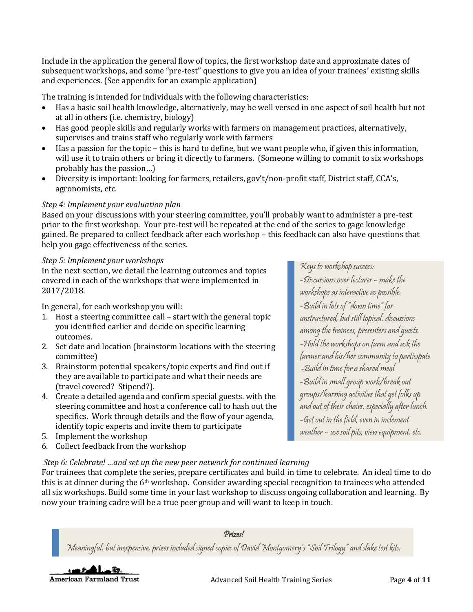Include in the application the general flow of topics, the first workshop date and approximate dates of subsequent workshops, and some "pre-test" questions to give you an idea of your trainees' existing skills and experiences. (See appendix for an example application)

The training is intended for individuals with the following characteristics:

- Has a basic soil health knowledge, alternatively, may be well versed in one aspect of soil health but not at all in others (i.e. chemistry, biology)
- Has good people skills and regularly works with farmers on management practices, alternatively, supervises and trains staff who regularly work with farmers
- Has a passion for the topic this is hard to define, but we want people who, if given this information, will use it to train others or bring it directly to farmers. (Someone willing to commit to six workshops probably has the passion…)
- Diversity is important: looking for farmers, retailers, gov't/non-profit staff, District staff, CCA's, agronomists, etc.

### *Step 4: Implement your evaluation plan*

Based on your discussions with your steering committee, you'll probably want to administer a pre-test prior to the first workshop. Your pre-test will be repeated at the end of the series to gage knowledge gained. Be prepared to collect feedback after each workshop – this feedback can also have questions that help you gage effectiveness of the series.

#### *Step 5: Implement your workshops*

In the next section, we detail the learning outcomes and topics covered in each of the workshops that were implemented in 2017/2018.

In general, for each workshop you will:

- 1. Host a steering committee call start with the general topic you identified earlier and decide on specific learning outcomes.
- 2. Set date and location (brainstorm locations with the steering committee)
- 3. Brainstorm potential speakers/topic experts and find out if they are available to participate and what their needs are (travel covered? Stipend?).
- 4. Create a detailed agenda and confirm special guests. with the steering committee and host a conference call to hash out the specifics. Work through details and the flow of your agenda, identify topic experts and invite them to participate
- 5. Implement the workshop
- 6. Collect feedback from the workshop

# Keys to workshop success:

-Discussions over lectures – make the workshops as interactive as possible. -Build in lots of "down time" for unstructured, but still topical, discussions among the trainees, presenters and guests. -Hold the workshops on farm and ask the farmer and his/her community to participate –Build in time for a shared meal -Build in small group work/break out groups/learning activities that get folks up and out of their chairs, especially after lunch. -Get out in the field, even in inclement weather – use soil pits, view equipment, etc.

# *Step 6: Celebrate! …and set up the new peer network for continued learning*

For trainees that complete the series, prepare certificates and build in time to celebrate. An ideal time to do this is at dinner during the 6th workshop. Consider awarding special recognition to trainees who attended all six workshops. Build some time in your last workshop to discuss ongoing collaboration and learning. By now your training cadre will be a true peer group and will want to keep in touch.

#### Prizes!

Meaningful, but inexpensive, prizes included signed copies of David Montgomery's "Soil Trilogy" and slake test kits.

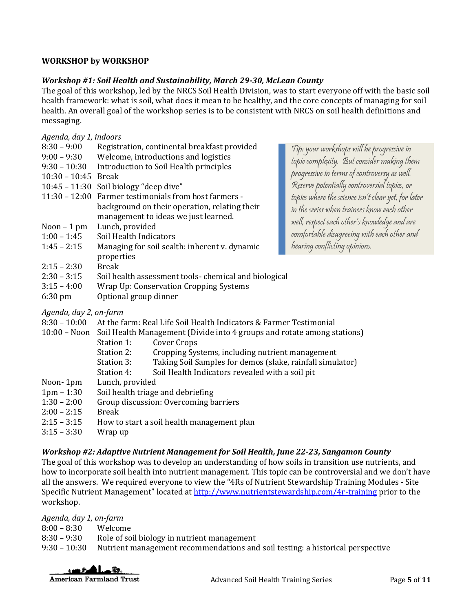## **WORKSHOP by WORKSHOP**

## *Workshop #1: Soil Health and Sustainability, March 29-30, McLean County*

The goal of this workshop, led by the NRCS Soil Health Division, was to start everyone off with the basic soil health framework: what is soil, what does it mean to be healthy, and the core concepts of managing for soil health. An overall goal of the workshop series is to be consistent with NRCS on soil health definitions and messaging.

#### *Agenda, day 1, indoors*

| $8:30 - 9:00$     | Registration, continental breakfast provided         | Tip: your workshops will be progressive in          |  |
|-------------------|------------------------------------------------------|-----------------------------------------------------|--|
| $9:00 - 9:30$     | Welcome, introductions and logistics                 | topic complexity. But consider making them          |  |
| $9:30 - 10:30$    | Introduction to Soil Health principles               |                                                     |  |
| $10:30 - 10:45$   | Break                                                | progressive in terms of controversy as well.        |  |
| $10:45 - 11:30$   | Soil biology "deep dive"                             | Reserve potentially controversial topics, or        |  |
| $11:30 - 12:00$   | Farmer testimonials from host farmers -              | topics where the science isn't clear yet, for later |  |
|                   | background on their operation, relating their        | in the series when trainees know each other         |  |
|                   | management to ideas we just learned.                 |                                                     |  |
| Noon $-1$ pm      | Lunch, provided                                      | well, respect each other's knowledge and are        |  |
| $1:00 - 1:45$     | Soil Health Indicators                               | comfortable disagreeing with each other and         |  |
| $1:45 - 2:15$     | Managing for soil sealth: inherent v. dynamic        | hearing conflicting opinions.                       |  |
|                   | properties                                           |                                                     |  |
| $2:15 - 2:30$     | Break                                                |                                                     |  |
| $2:30 - 3:15$     | Soil health assessment tools-chemical and biological |                                                     |  |
| $3:15 - 4:00$     | Wrap Up: Conservation Cropping Systems               |                                                     |  |
| $6:30 \text{ pm}$ | Optional group dinner                                |                                                     |  |
|                   |                                                      |                                                     |  |

- *Agenda, day 2, on-farm*
- 8:30 10:00 At the farm: Real Life Soil Health Indicators & Farmer Testimonial
- 10:00 Noon Soil Health Management (Divide into 4 groups and rotate among stations)
	- Station 1: Cover Crops
	- Station 2: Cropping Systems, including nutrient management
	- Station 3: Taking Soil Samples for demos (slake, rainfall simulator)
	- Station 4: Soil Health Indicators revealed with a soil pit
- Noon- 1pm Lunch, provided
- 1pm 1:30 Soil health triage and debriefing
- 1:30 2:00 Group discussion: Overcoming barriers
- 2:00 2:15 Break
- $2:15 3:15$  How to start a soil health management plan
- 3:15 3:30 Wrap up

# *Workshop #2: Adaptive Nutrient Management for Soil Health, June 22-23, Sangamon County*

The goal of this workshop was to develop an understanding of how soils in transition use nutrients, and how to incorporate soil health into nutrient management. This topic can be controversial and we don't have all the answers. We required everyone to view the "4Rs of Nutrient Stewardship Training Modules - Site Specific Nutrient Management" located at<http://www.nutrientstewardship.com/4r-training> prior to the workshop.

*Agenda, day 1, on-farm*

| $8:00 - 8:30$  | Welcome                                                                        |
|----------------|--------------------------------------------------------------------------------|
| $8:30 - 9:30$  | Role of soil biology in nutrient management                                    |
| $9:30 - 10:30$ | Nutrient management recommendations and soil testing: a historical perspective |
|                |                                                                                |

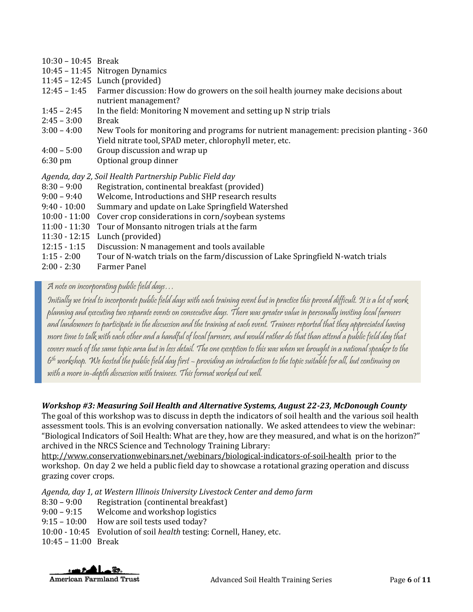| $10:30 - 10:45$ |  | Break |
|-----------------|--|-------|
|-----------------|--|-------|

- 10:45 11:45 Nitrogen Dynamics
- 11:45 12:45 Lunch (provided)
- 12:45 1:45 Farmer discussion: How do growers on the soil health journey make decisions about nutrient management?
- 1:45 2:45 In the field: Monitoring N movement and setting up N strip trials
- 2:45 3:00 Break
- 3:00 4:00 New Tools for monitoring and programs for nutrient management: precision planting 360 Yield nitrate tool, SPAD meter, chlorophyll meter, etc.
- 4:00 5:00 Group discussion and wrap up
- 6:30 pm Optional group dinner

*Agenda, day 2, Soil Health Partnership Public Field day* 

- 8:30 9:00 Registration, continental breakfast (provided)
- 9:00 9:40 Welcome, Introductions and SHP research results
- 9:40 10:00 Summary and update on Lake Springfield Watershed
- 10:00 11:00 Cover crop considerations in corn/soybean systems
- 11:00 11:30 Tour of Monsanto nitrogen trials at the farm
- 11:30 12:15 Lunch (provided)
- 12:15 1:15 Discussion: N management and tools available
- 1:15 2:00 Tour of N-watch trials on the farm/discussion of Lake Springfield N-watch trials
- 2:00 2:30 Farmer Panel

## A note on incorporating public field days…

Initially we tried to incorporate public field days with each training event but in practice this proved difficult. It is a lot of work planning and executing two separate events on consecutive days. There was greater value in personally inviting local farmers and landowners to participate in the discussion and the training at each event. Trainees reported that they appreciated having more time to talk with each other and a handful of local farmers, and would rather do that than attend a public field day that covers much of the same topic area but in less detail. The one exception to this was when we brought in a national speaker to the 6 th workshop. We hosted the public field day first – providing an introduction to the topic suitable for all, but continuing on with a more in-depth discussion with trainees. This format worked out well.

## *Workshop #3: Measuring Soil Health and Alternative Systems, August 22-23, McDonough County*

The goal of this workshop was to discuss in depth the indicators of soil health and the various soil health assessment tools. This is an evolving conversation nationally. We asked attendees to view the webinar: "Biological Indicators of Soil Health: What are they, how are they measured, and what is on the horizon?" archived in the NRCS Science and Technology Training Library:

<http://www.conservationwebinars.net/webinars/biological-indicators-of-soil-health>prior to the workshop. On day 2 we held a public field day to showcase a rotational grazing operation and discuss grazing cover crops.

*Agenda, day 1, at Western Illinois University Livestock Center and demo farm*

- 8:30 9:00 Registration (continental breakfast)
- 9:00 9:15 Welcome and workshop logistics
- 9:15 10:00 How are soil tests used today?
- 10:00 10:45 Evolution of soil *health* testing: Cornell, Haney, etc.

10:45 – 11:00 Break

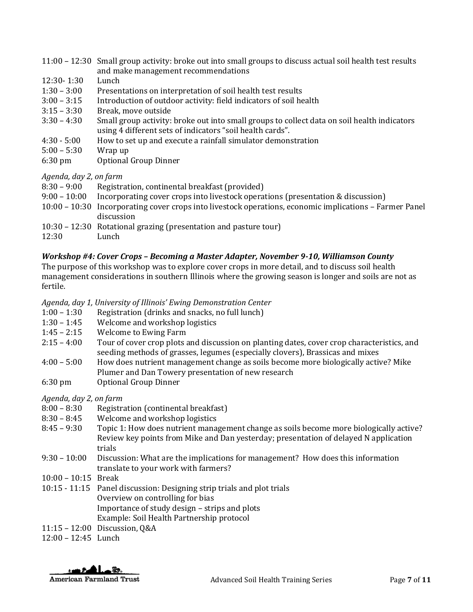| 11:00 – 12:30 Small group activity: broke out into small groups to discuss actual soil health test results |
|------------------------------------------------------------------------------------------------------------|
| and make management recommendations                                                                        |

- 12:30- 1:30 Lunch
- 1:30 3:00 Presentations on interpretation of soil health test results
- 3:00 3:15 Introduction of outdoor activity: field indicators of soil health
- 3:15 3:30 Break, move outside
- 3:30 4:30 Small group activity: broke out into small groups to collect data on soil health indicators using 4 different sets of indicators "soil health cards".
- 4:30 5:00 How to set up and execute a rainfall simulator demonstration
- 5:00 5:30 Wrap up
- 6:30 pm Optional Group Dinner

#### *Agenda, day 2, on farm*

| $8:30 - 9:00$  | Registration, continental breakfast (provided)                                                          |
|----------------|---------------------------------------------------------------------------------------------------------|
| $9:00 - 10:00$ | Incorporating cover crops into livestock operations (presentation & discussion)                         |
|                | 10:00 – 10:30 Incorporating cover crops into livestock operations, economic implications – Farmer Panel |
|                | discussion                                                                                              |
|                | $10:30 - 12:30$ Rotational grazing (presentation and pasture tour)                                      |
| 12:30          | Lunch                                                                                                   |
|                |                                                                                                         |

#### *Workshop #4: Cover Crops – Becoming a Master Adapter, November 9-10, Williamson County*

The purpose of this workshop was to explore cover crops in more detail, and to discuss soil health management considerations in southern Illinois where the growing season is longer and soils are not as fertile.

#### *Agenda, day 1, University of Illinois' Ewing Demonstration Center*

- 1:00 1:30 Registration (drinks and snacks, no full lunch)
- 1:30 1:45 Welcome and workshop logistics
- 1:45 2:15 Welcome to Ewing Farm
- 2:15 4:00 Tour of cover crop plots and discussion on planting dates, cover crop characteristics, and seeding methods of grasses, legumes (especially clovers), Brassicas and mixes
- 4:00 5:00 How does nutrient management change as soils become more biologically active? Mike Plumer and Dan Towery presentation of new research
- 6:30 pm Optional Group Dinner

*Agenda, day 2, on farm*

- 8:00 8:30 Registration (continental breakfast)
- 8:30 8:45 Welcome and workshop logistics
- 8:45 9:30 Topic 1: How does nutrient management change as soils become more biologically active? Review key points from Mike and Dan yesterday; presentation of delayed N application trials
- 9:30 10:00 Discussion: What are the implications for management? How does this information translate to your work with farmers?
- 10:00 10:15 Break
- 10:15 11:15 Panel discussion: Designing strip trials and plot trials Overview on controlling for bias Importance of study design – strips and plots Example: Soil Health Partnership protocol
- 11:15 12:00 Discussion, Q&A
- 12:00 12:45 Lunch

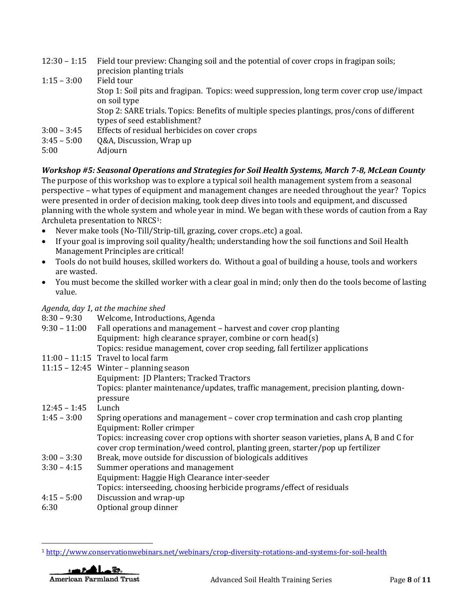| $12:30 - 1:15$ | Field tour preview: Changing soil and the potential of cover crops in fragipan soils;       |  |  |
|----------------|---------------------------------------------------------------------------------------------|--|--|
|                | precision planting trials                                                                   |  |  |
| $1:15 - 3:00$  | Field tour                                                                                  |  |  |
|                | Stop 1: Soil pits and fragipan. Topics: weed suppression, long term cover crop use/impact   |  |  |
|                | on soil type                                                                                |  |  |
|                | Stop 2: SARE trials. Topics: Benefits of multiple species plantings, pros/cons of different |  |  |
|                | types of seed establishment?                                                                |  |  |
| $3:00 - 3:45$  | Effects of residual herbicides on cover crops                                               |  |  |
| $3:45 - 5:00$  | Q&A, Discussion, Wrap up                                                                    |  |  |
| 5:00           | Adjourn                                                                                     |  |  |
|                |                                                                                             |  |  |

## *Workshop #5: Seasonal Operations and Strategies for Soil Health Systems, March 7-8, McLean County*

The purpose of this workshop was to explore a typical soil health management system from a seasonal perspective – what types of equipment and management changes are needed throughout the year? Topics were presented in order of decision making, took deep dives into tools and equipment, and discussed planning with the whole system and whole year in mind. We began with these words of caution from a Ray Archuleta presentation to NRCS1:

- Never make tools (No-Till/Strip-till, grazing, cover crops..etc) a goal.
- If your goal is improving soil quality/health; understanding how the soil functions and Soil Health Management Principles are critical!
- Tools do not build houses, skilled workers do. Without a goal of building a house, tools and workers are wasted.
- You must become the skilled worker with a clear goal in mind; only then do the tools become of lasting value.

## *Agenda, day 1, at the machine shed*

| $8:30 - 9:30$  | Welcome, Introductions, Agenda                                                            |  |
|----------------|-------------------------------------------------------------------------------------------|--|
| $9:30 - 11:00$ | Fall operations and management - harvest and cover crop planting                          |  |
|                | Equipment: high clearance sprayer, combine or corn head(s)                                |  |
|                | Topics: residue management, cover crop seeding, fall fertilizer applications              |  |
|                | $11:00 - 11:15$ Travel to local farm                                                      |  |
|                | $11:15 - 12:45$ Winter – planning season                                                  |  |
|                | Equipment: JD Planters; Tracked Tractors                                                  |  |
|                | Topics: planter maintenance/updates, traffic management, precision planting, down-        |  |
|                | pressure                                                                                  |  |
| $12:45 - 1:45$ | Lunch                                                                                     |  |
| $1:45 - 3:00$  | Spring operations and management – cover crop termination and cash crop planting          |  |
|                | Equipment: Roller crimper                                                                 |  |
|                | Topics: increasing cover crop options with shorter season varieties, plans A, B and C for |  |
|                | cover crop termination/weed control, planting green, starter/pop up fertilizer            |  |
| $3:00 - 3:30$  | Break, move outside for discussion of biologicals additives                               |  |
| $3:30 - 4:15$  | Summer operations and management                                                          |  |
|                | Equipment: Haggie High Clearance inter-seeder                                             |  |
|                | Topics: interseeding, choosing herbicide programs/effect of residuals                     |  |
| $4:15 - 5:00$  | Discussion and wrap-up                                                                    |  |

6:30 Optional group dinner

<sup>1</sup> <http://www.conservationwebinars.net/webinars/crop-diversity-rotations-and-systems-for-soil-health>



 $\overline{\phantom{a}}$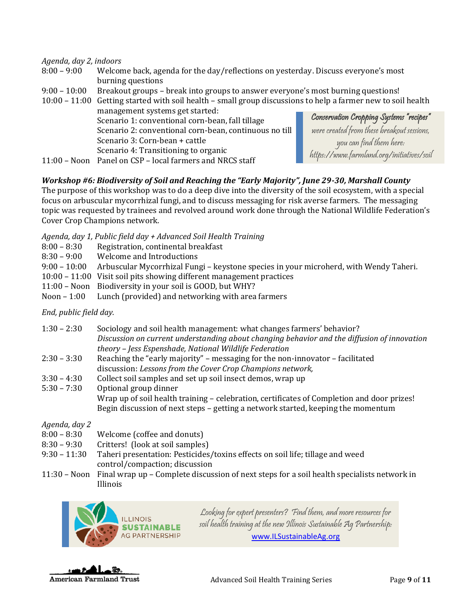*Agenda, day 2, indoors*

- 8:00 9:00 Welcome back, agenda for the day/reflections on yesterday. Discuss everyone's most burning questions
- 9:00 10:00 Breakout groups break into groups to answer everyone's most burning questions!
- 10:00 11:00 Getting started with soil health small group discussions to help a farmer new to soil health management systems get started:

Scenario 1: conventional corn-bean, fall tillage Scenario 2: conventional corn-bean, continuous no till Scenario 3: Corn-bean + cattle Scenario 4: Transitioning to organic

Conservation Cropping Systems "recipes" were created from these breakout sessions, you can find them here: https://www.farmland.org/initiatives/soil

11:00 – Noon Panel on CSP – local farmers and NRCS staff

*Workshop #6: Biodiversity of Soil and Reaching the "Early Majority", June 29-30, Marshall County*

The purpose of this workshop was to do a deep dive into the diversity of the soil ecosystem, with a special focus on arbuscular mycorrhizal fungi, and to discuss messaging for risk averse farmers. The messaging topic was requested by trainees and revolved around work done through the National Wildlife Federation's Cover Crop Champions network.

*Agenda, day 1, Public field day + Advanced Soil Health Training*

- 8:00 8:30 Registration, continental breakfast
- 8:30 9:00 Welcome and Introductions
- 9:00 10:00 Arbuscular Mycorrhizal Fungi keystone species in your microherd, with Wendy Taheri.
- 10:00 11:00 Visit soil pits showing different management practices
- 11:00 Noon Biodiversity in your soil is GOOD, but WHY?
- Noon 1:00 Lunch (provided) and networking with area farmers

*End, public field day.*

| $1:30 - 2:30$ | Sociology and soil health management: what changes farmers' behavior?                       |
|---------------|---------------------------------------------------------------------------------------------|
|               | Discussion on current understanding about changing behavior and the diffusion of innovation |
|               | theory - Jess Espenshade, National Wildlife Federation                                      |
| $2:30 - 3:30$ | Reaching the "early majority" – messaging for the non-innovator – facilitated               |
|               | discussion: Lessons from the Cover Crop Champions network,                                  |
| $3:30 - 4:30$ | Collect soil samples and set up soil insect demos, wrap up                                  |
|               |                                                                                             |

5:30 – 7:30 Optional group dinner Wrap up of soil health training – celebration, certificates of Completion and door prizes! Begin discussion of next steps – getting a network started, keeping the momentum

*Agenda, day 2*

| $8:00 - 8:30$ | Welcome (coffee and donuts) |  |
|---------------|-----------------------------|--|
|---------------|-----------------------------|--|

- 8:30 9:30 Critters! (look at soil samples)
- 9:30 11:30 Taheri presentation: Pesticides/toxins effects on soil life; tillage and weed control/compaction; discussion
- 11:30 Noon Final wrap up Complete discussion of next steps for a soil health specialists network in Illinois



Looking for expert presenters? Find them, and more resources for soil health training at the new Illinois Sustainable Ag Partnership: [www.ILSustainableAg.org](http://www.ilsustainableag.org/)

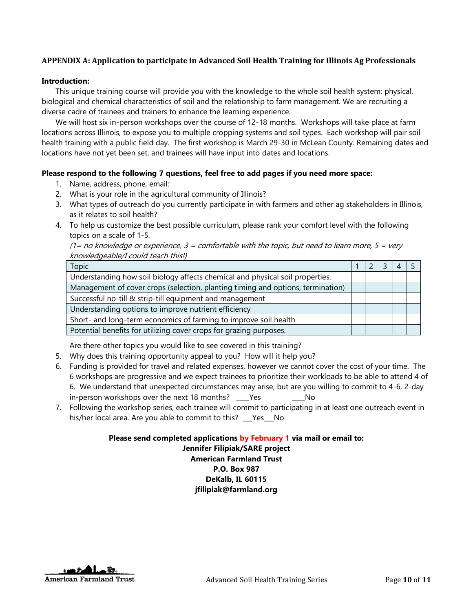### **APPENDIX A: Application to participate in Advanced Soil Health Training for Illinois Ag Professionals**

#### **Introduction:**

This unique training course will provide you with the knowledge to the whole soil health system: physical, biological and chemical characteristics of soil and the relationship to farm management. We are recruiting a diverse cadre of trainees and trainers to enhance the learning experience.

We will host six in-person workshops over the course of 12-18 months. Workshops will take place at farm locations across Illinois, to expose you to multiple cropping systems and soil types. Each workshop will pair soil health training with a public field day. The first workshop is March 29-30 in McLean County. Remaining dates and locations have not yet been set, and trainees will have input into dates and locations.

#### **Please respond to the following 7 questions, feel free to add pages if you need more space:**

- 1. Name, address, phone, email:
- 2. What is your role in the agricultural community of Illinois?
- 3. What types of outreach do you currently participate in with farmers and other ag stakeholders in Illinois, as it relates to soil health?
- 4. To help us customize the best possible curriculum, please rank your comfort level with the following topics on a scale of 1-5.

(1= no knowledge or experience,  $3$  = comfortable with the topic, but need to learn more,  $5$  = very knowledgeable/I could teach this!)

| <b>Topic</b>                                                                    |  |  |  |
|---------------------------------------------------------------------------------|--|--|--|
| Understanding how soil biology affects chemical and physical soil properties.   |  |  |  |
| Management of cover crops (selection, planting timing and options, termination) |  |  |  |
| Successful no-till & strip-till equipment and management                        |  |  |  |
| Understanding options to improve nutrient efficiency                            |  |  |  |
| Short- and long-term economics of farming to improve soil health                |  |  |  |
| Potential benefits for utilizing cover crops for grazing purposes.              |  |  |  |

Are there other topics you would like to see covered in this training?

- 5. Why does this training opportunity appeal to you? How will it help you?
- 6. Funding is provided for travel and related expenses, however we cannot cover the cost of your time. The 6 workshops are progressive and we expect trainees to prioritize their workloads to be able to attend 4 of 6. We understand that unexpected circumstances may arise, but are you willing to commit to 4-6, 2-day in-person workshops over the next 18 months? Yes Mo
- 7. Following the workshop series, each trainee will commit to participating in at least one outreach event in his/her local area. Are you able to commit to this? \_\_\_Yes\_\_\_No

**Please send completed applications by February 1 via mail or email to: Jennifer Filipiak/SARE project**

## **American Farmland Trust P.O. Box 987 DeKalb, IL 60115**

**jfilipiak@farmland.org**